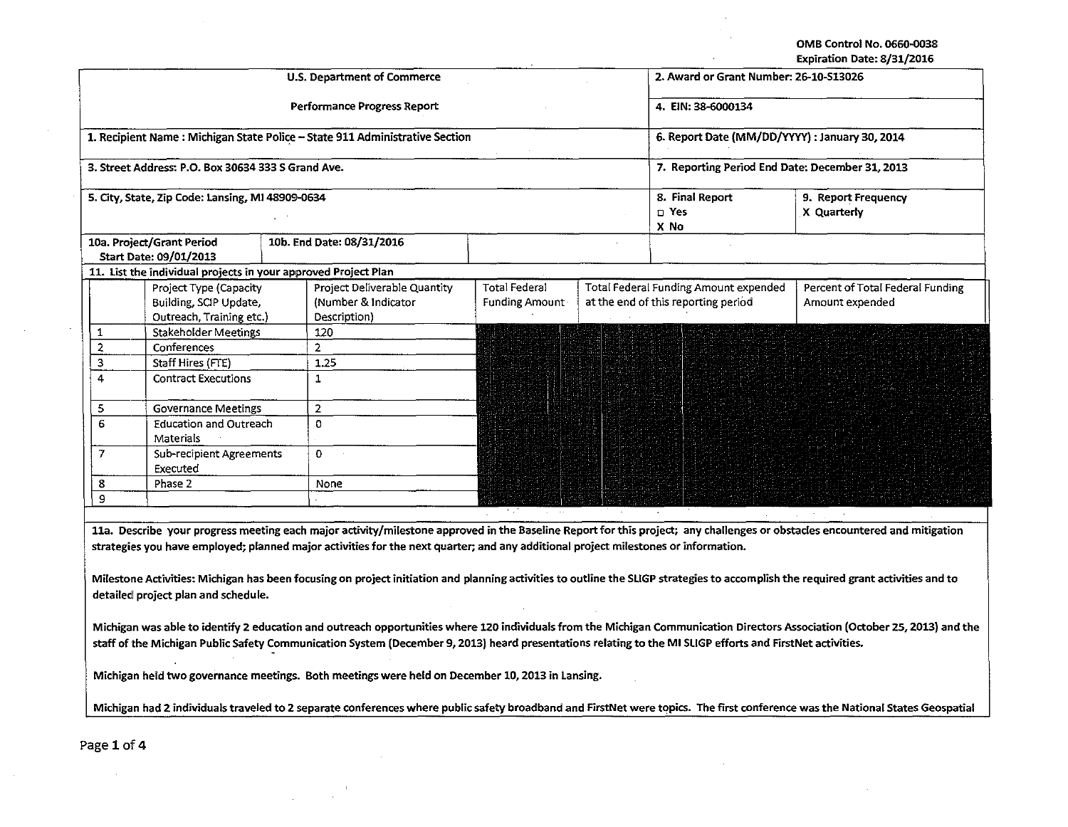OMB Control No. 0660-0038

Expiration Date: 8/31/2016

|                                                                                                                                                                                                                                                                                                                                                                                                                                                                                                                                                                                                                                                                                                                                                                                                                                                                                                                                                                                             |                                                                              | <b>U.S. Department of Commerce</b>                                          | 2. Award or Grant Number: 26-10-S13026          |                                  |                                                                              |                                                     |  |  |  |
|---------------------------------------------------------------------------------------------------------------------------------------------------------------------------------------------------------------------------------------------------------------------------------------------------------------------------------------------------------------------------------------------------------------------------------------------------------------------------------------------------------------------------------------------------------------------------------------------------------------------------------------------------------------------------------------------------------------------------------------------------------------------------------------------------------------------------------------------------------------------------------------------------------------------------------------------------------------------------------------------|------------------------------------------------------------------------------|-----------------------------------------------------------------------------|-------------------------------------------------|----------------------------------|------------------------------------------------------------------------------|-----------------------------------------------------|--|--|--|
|                                                                                                                                                                                                                                                                                                                                                                                                                                                                                                                                                                                                                                                                                                                                                                                                                                                                                                                                                                                             |                                                                              | Performance Progress Report                                                 | 4. EIN: 38-6000134                              |                                  |                                                                              |                                                     |  |  |  |
|                                                                                                                                                                                                                                                                                                                                                                                                                                                                                                                                                                                                                                                                                                                                                                                                                                                                                                                                                                                             |                                                                              | 1. Recipient Name: Michigan State Police - State 911 Administrative Section | 6. Report Date (MM/DD/YYYY) : January 30, 2014  |                                  |                                                                              |                                                     |  |  |  |
|                                                                                                                                                                                                                                                                                                                                                                                                                                                                                                                                                                                                                                                                                                                                                                                                                                                                                                                                                                                             | 3. Street Address: P.O. Box 30634 333 S Grand Ave.                           |                                                                             | 7. Reporting Period End Date: December 31, 2013 |                                  |                                                                              |                                                     |  |  |  |
|                                                                                                                                                                                                                                                                                                                                                                                                                                                                                                                                                                                                                                                                                                                                                                                                                                                                                                                                                                                             | 5. City, State, Zip Code: Lansing, MI 48909-0634                             |                                                                             |                                                 | 8. Final Report<br>□ Yes<br>X No | 9. Report Frequency<br>X Quarterly                                           |                                                     |  |  |  |
|                                                                                                                                                                                                                                                                                                                                                                                                                                                                                                                                                                                                                                                                                                                                                                                                                                                                                                                                                                                             | 10a. Project/Grant Period<br>Start Date: 09/01/2013                          | 10b. End Date: 08/31/2016                                                   |                                                 |                                  |                                                                              |                                                     |  |  |  |
|                                                                                                                                                                                                                                                                                                                                                                                                                                                                                                                                                                                                                                                                                                                                                                                                                                                                                                                                                                                             |                                                                              | 11. List the individual projects in your approved Project Plan              |                                                 |                                  |                                                                              |                                                     |  |  |  |
|                                                                                                                                                                                                                                                                                                                                                                                                                                                                                                                                                                                                                                                                                                                                                                                                                                                                                                                                                                                             | Project Type (Capacity<br>Building, SCIP Update,<br>Outreach, Training etc.) | Project Deliverable Quantity<br>(Number & Indicator<br>Description)         | Total Federal<br><b>Funding Amount</b>          |                                  | Total Federal Funding Amount expended<br>at the end of this reporting period | Percent of Total Federal Funding<br>Amount expended |  |  |  |
| 1                                                                                                                                                                                                                                                                                                                                                                                                                                                                                                                                                                                                                                                                                                                                                                                                                                                                                                                                                                                           | <b>Stakeholder Meetings</b>                                                  | 120                                                                         |                                                 |                                  |                                                                              |                                                     |  |  |  |
| $\mathbf 2$                                                                                                                                                                                                                                                                                                                                                                                                                                                                                                                                                                                                                                                                                                                                                                                                                                                                                                                                                                                 | Conferences                                                                  | $\overline{2}$                                                              |                                                 |                                  |                                                                              |                                                     |  |  |  |
| 3                                                                                                                                                                                                                                                                                                                                                                                                                                                                                                                                                                                                                                                                                                                                                                                                                                                                                                                                                                                           | Staff Hires (FTE)                                                            | 1.25                                                                        |                                                 |                                  |                                                                              |                                                     |  |  |  |
| $\overline{4}$                                                                                                                                                                                                                                                                                                                                                                                                                                                                                                                                                                                                                                                                                                                                                                                                                                                                                                                                                                              | <b>Contract Executions</b>                                                   | $\mathbf{1}$                                                                |                                                 |                                  |                                                                              |                                                     |  |  |  |
| 5                                                                                                                                                                                                                                                                                                                                                                                                                                                                                                                                                                                                                                                                                                                                                                                                                                                                                                                                                                                           | <b>Governance Meetings</b>                                                   | $\overline{2}$                                                              |                                                 |                                  |                                                                              |                                                     |  |  |  |
| 6                                                                                                                                                                                                                                                                                                                                                                                                                                                                                                                                                                                                                                                                                                                                                                                                                                                                                                                                                                                           | <b>Education and Outreach</b><br>Materials                                   | $\Omega$                                                                    |                                                 |                                  |                                                                              |                                                     |  |  |  |
| 7                                                                                                                                                                                                                                                                                                                                                                                                                                                                                                                                                                                                                                                                                                                                                                                                                                                                                                                                                                                           | <b>Sub-recipient Agreements</b><br>Executed                                  | 0                                                                           |                                                 |                                  |                                                                              |                                                     |  |  |  |
| 8                                                                                                                                                                                                                                                                                                                                                                                                                                                                                                                                                                                                                                                                                                                                                                                                                                                                                                                                                                                           | Phase 2                                                                      | None                                                                        |                                                 |                                  |                                                                              |                                                     |  |  |  |
| 9                                                                                                                                                                                                                                                                                                                                                                                                                                                                                                                                                                                                                                                                                                                                                                                                                                                                                                                                                                                           |                                                                              |                                                                             |                                                 |                                  |                                                                              |                                                     |  |  |  |
| 11a. Describe your progress meeting each major activity/milestone approved in the Baseline Report for this project; any challenges or obstacles encountered and mitigation<br>strategies you have employed; planned major activities for the next quarter; and any additional project milestones or information.<br>Milestone Activities: Michigan has been focusing on project initiation and planning activities to outline the SLIGP strategies to accomplish the required grant activities and to<br>detailed project plan and schedule.<br>Michigan was able to identify 2 education and outreach opportunities where 120 individuals from the Michigan Communication Directors Association (October 25, 2013) and the<br>staff of the Michigan Public Safety Communication System (December 9, 2013) heard presentations relating to the MI SLIGP efforts and FirstNet activities.<br>Michigan held two governance meetings. Both meetings were held on December 10, 2013 in Lansing. |                                                                              |                                                                             |                                                 |                                  |                                                                              |                                                     |  |  |  |
| Michigan had 2 individuals traveled to 2 separate conferences where public safety broadband and FirstNet were topics. The first conference was the National States Geospatial                                                                                                                                                                                                                                                                                                                                                                                                                                                                                                                                                                                                                                                                                                                                                                                                               |                                                                              |                                                                             |                                                 |                                  |                                                                              |                                                     |  |  |  |
| Page 1 of 4                                                                                                                                                                                                                                                                                                                                                                                                                                                                                                                                                                                                                                                                                                                                                                                                                                                                                                                                                                                 |                                                                              |                                                                             |                                                 |                                  |                                                                              |                                                     |  |  |  |

 $\mathcal{L}$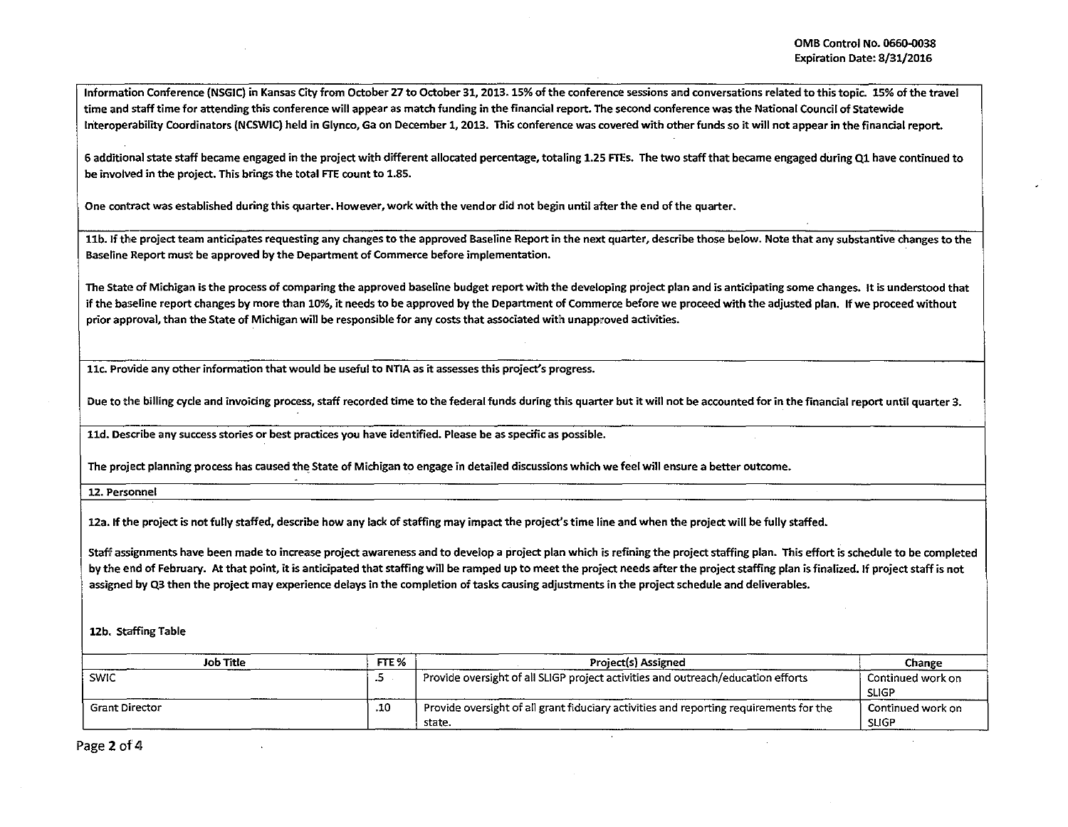Information Conference (NSGIC) in Kansas City from October 27 to October 31, 2013. 15% of the conference sessions and conversations related to this topic. 15% of the travel time and staff time for attending this conference will appear as match funding in the financial report. The second conference was the National Council of Statewide Interoperability Coordinators (NCSWIC) held in Glynco, Ga on December 1, 2013. This conference was covered with other funds so it will not appear in the financial report.

6 additional state staff became engaged in the project with different allocated percentage, totaling 1.25 FTEs. The two staff that became engaged during Ql have continued to be involved in the project. This brings the total FTE count to 1.85.

One contract was established during this quarter. However, work with the vendor did not begin until after the end ofthe quarter.

11b. If the project team anticipates requesting any changes to the approved Baseline Report in the next quarter, describe those below. Note that any substantive changes to the Baseline Report must be approved by the Department of Commerce before implementation.

The State of Michigan is the process of comparing the approved baseline budget report with the developing project plan and is anticipating some changes. It is understood that if the baseline report changes by more than 10%, it needs to be approved by the Department of Commerce before we proceed with the adjusted plan. If we proceed without prior approval, than the State of Michigan will be responsible for any costs that associated with unapproved activities.

11c. Provide any other information that would be useful to NTIA as it assesses this project's progress.

Due to the billing cycle and invoicing process, staff recorded time to the federal funds during this quarter but it will not be accounted for in the financial report until quarter 3.

lld. Describe any success stories or best practices you have identified. Please be as specific as possible.

The project planning process has caused the State of Michigan to engage in detailed discussions which we feel will ensure a better outcome.

12. Personnel

12a. If the project is not fully staffed, describe how any lack of staffing may impact the project's time line and when the project will be fully staffed.

Staff assignments have been made to increase project awareness and to develop a project plan which is refining the project staffing plan. This effort is schedule to be completed by the end of February. At that point, it is anticipated that staffing will be ramped up to meet the project needs after the project staffing plan is finalized. If project staff is not assigned by Q3 then the project may experience delays in the completion of tasks causing adjustments in the project schedule and deliverables.

## 12b. Staffing Table

| <b>Job Title</b>      | FTE <sub>%</sub> | Project(s) Assigned                                                                              | Change                            |
|-----------------------|------------------|--------------------------------------------------------------------------------------------------|-----------------------------------|
| <b>SWIC</b>           | - 2              | Provide oversight of all SLIGP project activities and outreach/education efforts                 | Continued work on<br><b>SLIGP</b> |
| <b>Grant Director</b> | .10              | Provide oversight of all grant fiduciary activities and reporting requirements for the<br>state. | Continued work on<br><b>SLIGP</b> |

Page 2 of 4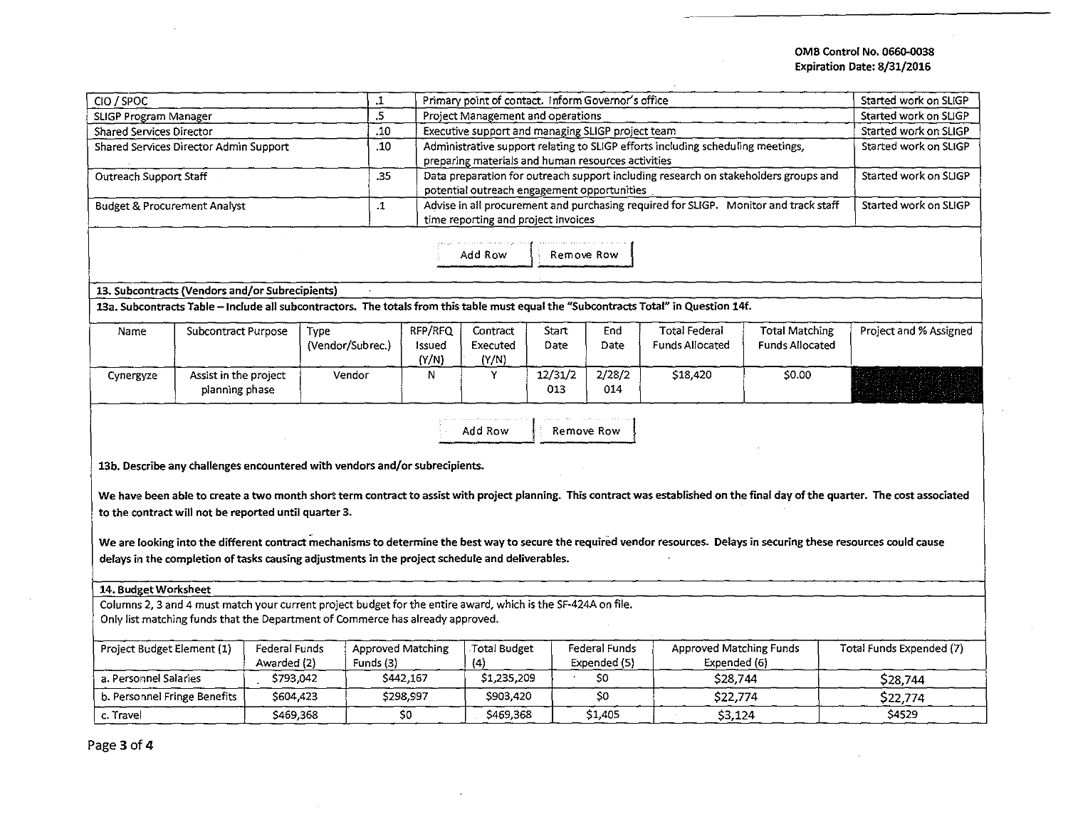## OMB Control No. 0660-0038 Expiration Date: 8/31/2016

| CIO / SPOC                                                                                                    |                       |                  | $\mathbf{L}$ | Primary point of contact. Inform Governor's office |                                                                                 |                                                                                      |                       |               |                                                                                                                                       | Started work on SLIGP  |                                                                                                                                                                                 |
|---------------------------------------------------------------------------------------------------------------|-----------------------|------------------|--------------|----------------------------------------------------|---------------------------------------------------------------------------------|--------------------------------------------------------------------------------------|-----------------------|---------------|---------------------------------------------------------------------------------------------------------------------------------------|------------------------|---------------------------------------------------------------------------------------------------------------------------------------------------------------------------------|
| SLIGP Program Manager                                                                                         |                       |                  | .5           |                                                    | Project Management and operations                                               | Started work on SLIGP                                                                |                       |               |                                                                                                                                       |                        |                                                                                                                                                                                 |
| Shared Services Director                                                                                      |                       |                  | .10          |                                                    | Executive support and managing SLIGP project team                               | Started work on SLIGP                                                                |                       |               |                                                                                                                                       |                        |                                                                                                                                                                                 |
| Shared Services Director Admin Support                                                                        |                       |                  | .10          |                                                    | Administrative support relating to SLIGP efforts including scheduling meetings, | Started work on SLIGP                                                                |                       |               |                                                                                                                                       |                        |                                                                                                                                                                                 |
|                                                                                                               |                       |                  |              |                                                    |                                                                                 | preparing materials and human resources activities                                   |                       |               |                                                                                                                                       |                        |                                                                                                                                                                                 |
| Outreach Support Staff                                                                                        |                       |                  |              | .35                                                |                                                                                 | Data preparation for outreach support including research on stakeholders groups and  | Started work on SLIGP |               |                                                                                                                                       |                        |                                                                                                                                                                                 |
|                                                                                                               |                       |                  |              |                                                    |                                                                                 | potential outreach engagement opportunities                                          |                       |               |                                                                                                                                       |                        |                                                                                                                                                                                 |
| <b>Budget &amp; Procurement Analyst</b>                                                                       |                       |                  |              | $\cdot$ 1                                          |                                                                                 | Advise in all procurement and purchasing required for SLIGP. Monitor and track staff | Started work on SLIGP |               |                                                                                                                                       |                        |                                                                                                                                                                                 |
|                                                                                                               |                       |                  |              |                                                    | time reporting and project invoices                                             |                                                                                      |                       |               |                                                                                                                                       |                        |                                                                                                                                                                                 |
|                                                                                                               |                       |                  |              |                                                    |                                                                                 |                                                                                      |                       |               |                                                                                                                                       |                        |                                                                                                                                                                                 |
|                                                                                                               |                       |                  |              |                                                    |                                                                                 | Add Row                                                                              | Remove Row            |               |                                                                                                                                       |                        |                                                                                                                                                                                 |
|                                                                                                               |                       |                  |              |                                                    |                                                                                 |                                                                                      |                       |               |                                                                                                                                       |                        |                                                                                                                                                                                 |
| 13. Subcontracts (Vendors and/or Subrecipients)                                                               |                       |                  |              |                                                    |                                                                                 |                                                                                      |                       |               |                                                                                                                                       |                        |                                                                                                                                                                                 |
|                                                                                                               |                       |                  |              |                                                    |                                                                                 |                                                                                      |                       |               | 13a. Subcontracts Table - Include all subcontractors. The totals from this table must equal the "Subcontracts Total" in Question 14f. |                        |                                                                                                                                                                                 |
|                                                                                                               |                       |                  |              |                                                    |                                                                                 |                                                                                      |                       |               |                                                                                                                                       |                        |                                                                                                                                                                                 |
| Name                                                                                                          | Subcontract Purpose   |                  | Type         |                                                    | RFP/RFQ                                                                         | Contract                                                                             | <b>Start</b>          | End           | <b>Total Federal</b>                                                                                                                  | <b>Total Matching</b>  | Project and % Assigned                                                                                                                                                          |
|                                                                                                               |                       | (Vendor/Subrec.) |              |                                                    | Issued<br>(Y/N)                                                                 | Executed<br>(Y/N)                                                                    | Date                  | Date          | <b>Funds Allocated</b>                                                                                                                | <b>Funds Allocated</b> |                                                                                                                                                                                 |
| Cynergyze                                                                                                     | Assist in the project |                  | Vendor       |                                                    | N                                                                               | Y                                                                                    | 12/31/2               | 2/28/2        | \$18,420                                                                                                                              | \$0.00                 |                                                                                                                                                                                 |
|                                                                                                               | planning phase        |                  |              |                                                    |                                                                                 |                                                                                      | 013                   | 014           |                                                                                                                                       |                        |                                                                                                                                                                                 |
|                                                                                                               |                       |                  |              |                                                    |                                                                                 |                                                                                      |                       |               |                                                                                                                                       |                        |                                                                                                                                                                                 |
|                                                                                                               |                       |                  |              |                                                    |                                                                                 |                                                                                      |                       |               |                                                                                                                                       |                        |                                                                                                                                                                                 |
|                                                                                                               |                       |                  |              |                                                    |                                                                                 | Add Row                                                                              |                       | Remove Row    |                                                                                                                                       |                        |                                                                                                                                                                                 |
|                                                                                                               |                       |                  |              |                                                    |                                                                                 |                                                                                      |                       |               |                                                                                                                                       |                        |                                                                                                                                                                                 |
| 13b. Describe any challenges encountered with vendors and/or subrecipients.                                   |                       |                  |              |                                                    |                                                                                 |                                                                                      |                       |               |                                                                                                                                       |                        |                                                                                                                                                                                 |
|                                                                                                               |                       |                  |              |                                                    |                                                                                 |                                                                                      |                       |               |                                                                                                                                       |                        |                                                                                                                                                                                 |
|                                                                                                               |                       |                  |              |                                                    |                                                                                 |                                                                                      |                       |               |                                                                                                                                       |                        | We have been able to create a two month short term contract to assist with project planning. This contract was established on the final day of the quarter. The cost associated |
| to the contract will not be reported until quarter 3.                                                         |                       |                  |              |                                                    |                                                                                 |                                                                                      |                       |               |                                                                                                                                       |                        |                                                                                                                                                                                 |
|                                                                                                               |                       |                  |              |                                                    |                                                                                 |                                                                                      |                       |               |                                                                                                                                       |                        |                                                                                                                                                                                 |
|                                                                                                               |                       |                  |              |                                                    |                                                                                 |                                                                                      |                       |               |                                                                                                                                       |                        | We are looking into the different contract mechanisms to determine the best way to secure the required vendor resources. Delays in securing these resources could cause         |
| delays in the completion of tasks causing adjustments in the project schedule and deliverables.               |                       |                  |              |                                                    |                                                                                 |                                                                                      |                       |               |                                                                                                                                       |                        |                                                                                                                                                                                 |
|                                                                                                               |                       |                  |              |                                                    |                                                                                 |                                                                                      |                       |               |                                                                                                                                       |                        |                                                                                                                                                                                 |
| 14. Budget Worksheet                                                                                          |                       |                  |              |                                                    |                                                                                 |                                                                                      |                       |               |                                                                                                                                       |                        |                                                                                                                                                                                 |
| Columns 2, 3 and 4 must match your current project budget for the entire award, which is the SF-424A on file. |                       |                  |              |                                                    |                                                                                 |                                                                                      |                       |               |                                                                                                                                       |                        |                                                                                                                                                                                 |
| Only list matching funds that the Department of Commerce has already approved.                                |                       |                  |              |                                                    |                                                                                 |                                                                                      |                       |               |                                                                                                                                       |                        |                                                                                                                                                                                 |
| <b>Approved Matching</b><br><b>Approved Matching Funds</b>                                                    |                       |                  |              |                                                    |                                                                                 |                                                                                      |                       |               |                                                                                                                                       |                        |                                                                                                                                                                                 |
| Project Budget Element (1)                                                                                    |                       | Federal Funds    |              |                                                    |                                                                                 | Total Budget                                                                         |                       | Federal Funds |                                                                                                                                       |                        | Total Funds Expended (7)                                                                                                                                                        |
| a. Personnel Salaries                                                                                         |                       | Awarded (2)      |              | Funds (3)                                          |                                                                                 | (4)                                                                                  |                       | Expended (5)  | Expended (6)                                                                                                                          |                        |                                                                                                                                                                                 |
|                                                                                                               |                       | \$793,042        |              |                                                    | \$442,167                                                                       | \$1,235,209                                                                          |                       | \$0           | \$28,744                                                                                                                              |                        | S28,744                                                                                                                                                                         |
| b. Personnel Fringe Benefits<br>\$604,423                                                                     |                       |                  | \$298,997    | \$903,420                                          |                                                                                 | \$0                                                                                  | \$22,774              |               | \$22,774                                                                                                                              |                        |                                                                                                                                                                                 |
| c. Travel                                                                                                     | \$469,368             |                  |              |                                                    | S0.                                                                             | \$469,368                                                                            |                       | \$1,405       | \$3,124                                                                                                                               |                        | \$4529                                                                                                                                                                          |

Page 3 of 4